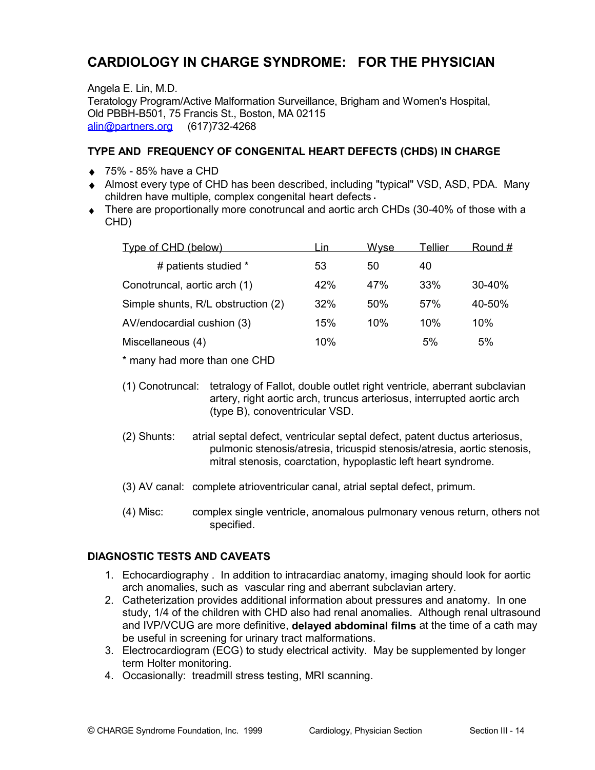# CARDIOLOGY IN CHARGE SYNDROME: FOR THE PHYSICIAN

Angela E. Lin, M.D. Teratology Program/Active Malformation Surveillance, Brigham and Women's Hospital, Old PBBH-B501, 75 Francis St., Boston, MA 02115 alin@partners.org (617)732-4268

#### TYPE AND FREQUENCY OF CONGENITAL HEART DEFECTS (CHDS) IN CHARGE

- $\bullet$  75% 85% have a CHD
- Almost every type of CHD has been described, including "typical" VSD, ASD, PDA. Many children have multiple, complex congenital heart defects.
- There are proportionally more conotruncal and aortic arch CHDs (30-40% of those with a CHD)

| Type of CHD (below)                | ın  | <u>Wyse</u> | Tellier | Round #    |
|------------------------------------|-----|-------------|---------|------------|
| # patients studied *               | 53  | 50          | 40      |            |
| Conotruncal, aortic arch (1)       | 42% | 47%         | 33%     | $30 - 40%$ |
| Simple shunts, R/L obstruction (2) | 32% | 50%         | $.57\%$ | 40-50%     |
| AV/endocardial cushion (3)         | 15% | 10%         | 10%     | 10%        |
| Miscellaneous (4)                  | 10% |             | 5%      | 5%         |

\* many had more than one CHD

- (1) Conotruncal: tetralogy of Fallot, double outlet right ventricle, aberrant subclavian artery, right aortic arch, truncus arteriosus, interrupted aortic arch (type B), conoventricular VSD.
- (2) Shunts: atrial septal defect, ventricular septal defect, patent ductus arteriosus, pulmonic stenosis/atresia, tricuspid stenosis/atresia, aortic stenosis, mitral stenosis, coarctation, hypoplastic left heart syndrome.
- (3) AV canal: complete atrioventricular canal, atrial septal defect, primum.
- $(4)$  Misc: complex single ventricle, anomalous pulmonary venous return, others not specified.

#### **DIAGNOSTIC TESTS AND CAVEATS**

- 1. Echocardiography . In addition to intracardiac anatomy, imaging should look for aortic arch anomalies, such as vascular ring and aberrant subclavian artery.
- 2. Catheterization provides additional information about pressures and anatomy. In one study, 1/4 of the children with CHD also had renal anomalies. Although renal ultrasound and IVP/VCUG are more definitive, delayed abdominal films at the time of a cath may be useful in screening for urinary tract malformations.
- 3. Electrocardiogram (ECG) to study electrical activity. May be supplemented by longer term Holter monitoring.
- 4. Occasionally: treadmill stress testing, MRI scanning.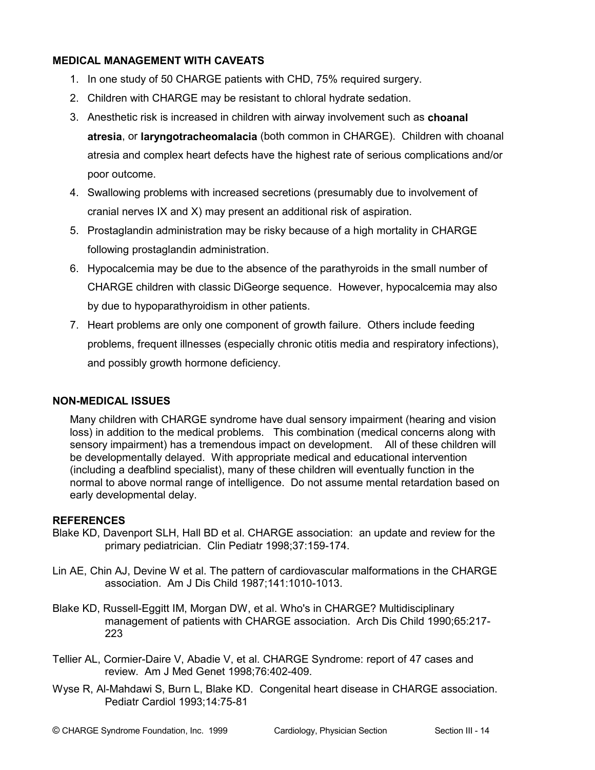## **MEDICAL MANAGEMENT WITH CAVEATS**

- 1. In one study of 50 CHARGE patients with CHD, 75% required surgery.
- 2. Children with CHARGE may be resistant to chloral hydrate sedation.
- 3. Anesthetic risk is increased in children with airway involvement such as choanal atresia, or laryngotracheomalacia (both common in CHARGE). Children with choanal atresia and complex heart defects have the highest rate of serious complications and/or poor outcome.
- 4. Swallowing problems with increased secretions (presumably due to involvement of cranial nerves IX and X) may present an additional risk of aspiration.
- 5. Prostaglandin administration may be risky because of a high mortality in CHARGE following prostaglandin administration.
- 6. Hypocalcemia may be due to the absence of the parathyroids in the small number of CHARGE children with classic DiGeorge sequence. However, hypocalcemia may also by due to hypoparathyroidism in other patients.
- 7. Heart problems are only one component of growth failure. Others include feeding problems, frequent illnesses (especially chronic otitis media and respiratory infections), and possibly growth hormone deficiency.

#### **NON-MEDICAL ISSUES**

Many children with CHARGE syndrome have dual sensory impairment (hearing and vision loss) in addition to the medical problems. This combination (medical concerns along with sensory impairment) has a tremendous impact on development. All of these children will be developmentally delayed. With appropriate medical and educational intervention (including a deafblind specialist), many of these children will eventually function in the normal to above normal range of intelligence. Do not assume mental retardation based on early developmental delay.

#### **REFERENCES**

- Blake KD, Davenport SLH, Hall BD et al. CHARGE association: an update and review for the primary pediatrician. Clin Pediatr 1998;37:159-174.
- Lin AE, Chin AJ, Devine W et al. The pattern of cardiovascular malformations in the CHARGE association. Am J Dis Child 1987;141:1010-1013.
- Blake KD, Russell-Eggitt IM, Morgan DW, et al. Who's in CHARGE? Multidisciplinary management of patients with CHARGE association. Arch Dis Child 1990;65:217-223
- Tellier AL, Cormier-Daire V, Abadie V, et al. CHARGE Syndrome: report of 47 cases and review. Am J Med Genet 1998;76:402-409.
- Wyse R, Al-Mahdawi S, Burn L, Blake KD. Congenital heart disease in CHARGE association. Pediatr Cardiol 1993;14:75-81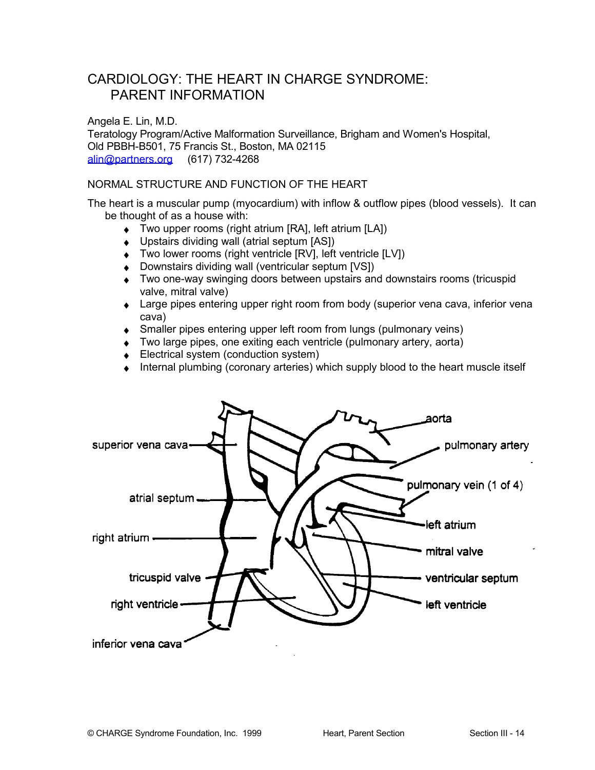## CARDIOLOGY: THE HEART IN CHARGE SYNDROME: **PARENT INFORMATION**

Angela E. Lin, M.D. Teratology Program/Active Malformation Surveillance, Brigham and Women's Hospital, Old PBBH-B501, 75 Francis St., Boston, MA 02115 alin@partners.org (617) 732-4268

#### NORMAL STRUCTURE AND FUNCTION OF THE HEART

The heart is a muscular pump (myocardium) with inflow & outflow pipes (blood vessels). It can be thought of as a house with:

- ◆ Two upper rooms (right atrium [RA], left atrium [LA])
- Upstairs dividing wall (atrial septum [AS])
- ◆ Two lower rooms (right ventricle [RV], left ventricle [LV])
- Downstairs dividing wall (ventricular septum [VS])
- Two one-way swinging doors between upstairs and downstairs rooms (tricuspid valve, mitral valve)
- Large pipes entering upper right room from body (superior vena cava, inferior vena cava)
- Smaller pipes entering upper left room from lungs (pulmonary veins)
- Two large pipes, one exiting each ventricle (pulmonary artery, aorta)
- ♦ Electrical system (conduction system)
- Internal plumbing (coronary arteries) which supply blood to the heart muscle itself

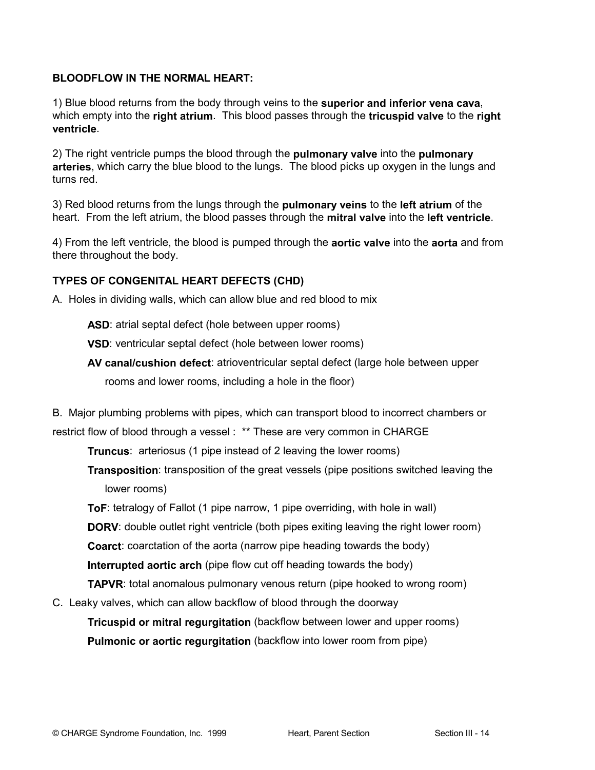### **BLOODFLOW IN THE NORMAL HEART:**

1) Blue blood returns from the body through veins to the superior and inferior vena cava, which empty into the right atrium. This blood passes through the tricuspid valve to the right ventricle.

2) The right ventricle pumps the blood through the pulmonary valve into the pulmonary arteries, which carry the blue blood to the lungs. The blood picks up oxygen in the lungs and turns red.

3) Red blood returns from the lungs through the **pulmonary veins** to the **left atrium** of the heart. From the left atrium, the blood passes through the mitral valve into the left ventricle.

4) From the left ventricle, the blood is pumped through the **aortic valve** into the **aorta** and from there throughout the body.

## TYPES OF CONGENITAL HEART DEFECTS (CHD)

A. Holes in dividing walls, which can allow blue and red blood to mix

**ASD:** atrial septal defect (hole between upper rooms)

VSD: ventricular septal defect (hole between lower rooms)

AV canal/cushion defect: atrioventricular septal defect (large hole between upper

rooms and lower rooms, including a hole in the floor)

B. Major plumbing problems with pipes, which can transport blood to incorrect chambers or restrict flow of blood through a vessel : \*\* These are very common in CHARGE

**Truncus:** arteriosus (1 pipe instead of 2 leaving the lower rooms)

**Transposition:** transposition of the great vessels (pipe positions switched leaving the lower rooms)

ToF: tetralogy of Fallot (1 pipe narrow, 1 pipe overriding, with hole in wall)

**DORV:** double outlet right ventricle (both pipes exiting leaving the right lower room)

**Coarct:** coarctation of the aorta (narrow pipe heading towards the body)

**Interrupted aortic arch** (pipe flow cut off heading towards the body)

**TAPVR:** total anomalous pulmonary venous return (pipe hooked to wrong room)

C. Leaky valves, which can allow backflow of blood through the doorway

Tricuspid or mitral requrgitation (backflow between lower and upper rooms) Pulmonic or aortic requrgitation (backflow into lower room from pipe)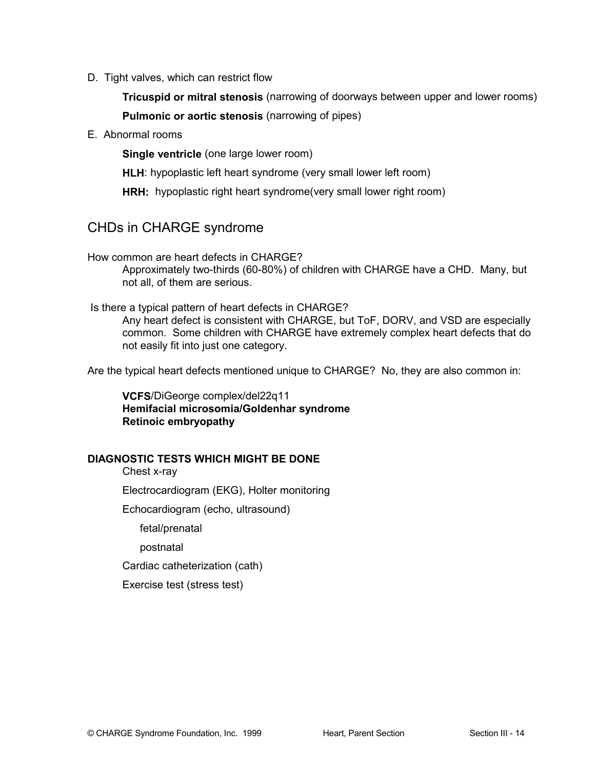D. Tight valves, which can restrict flow

Tricuspid or mitral stenosis (narrowing of doorways between upper and lower rooms) **Pulmonic or aortic stenosis (narrowing of pipes)** 

E. Abnormal rooms

Single ventricle (one large lower room)

HLH: hypoplastic left heart syndrome (very small lower left room)

HRH: hypoplastic right heart syndrome(very small lower right room)

## CHDs in CHARGE syndrome

How common are heart defects in CHARGE?

Approximately two-thirds (60-80%) of children with CHARGE have a CHD. Many, but not all. of them are serious.

Is there a typical pattern of heart defects in CHARGE?

Any heart defect is consistent with CHARGE, but ToF, DORV, and VSD are especially common. Some children with CHARGE have extremely complex heart defects that do not easily fit into just one category.

Are the typical heart defects mentioned unique to CHARGE? No, they are also common in:

VCFS/DiGeorge complex/del22q11 Hemifacial microsomia/Goldenhar syndrome **Retinoic embryopathy** 

#### **DIAGNOSTIC TESTS WHICH MIGHT BE DONE**

Chest x-ray

Electrocardiogram (EKG), Holter monitoring

Echocardiogram (echo, ultrasound)

fetal/prenatal

postnatal

Cardiac catheterization (cath)

Exercise test (stress test)